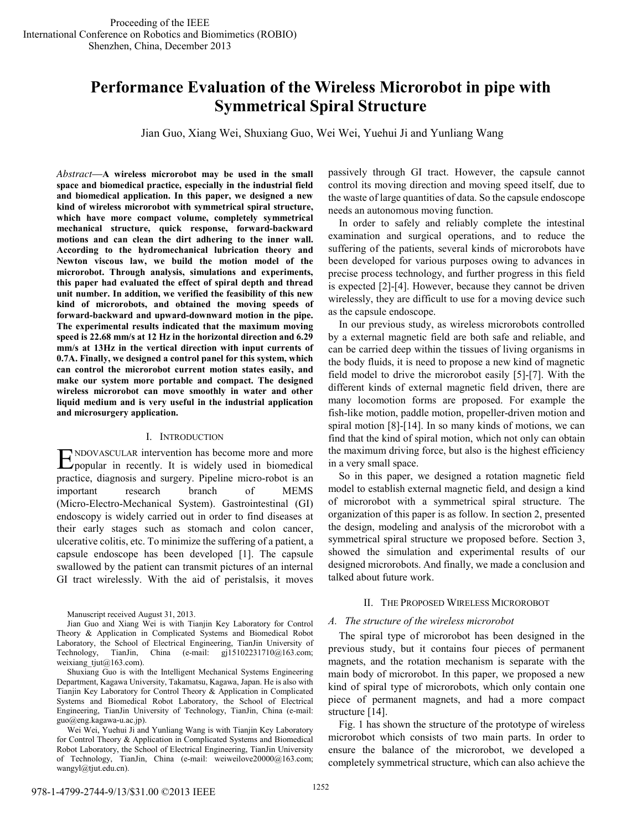# **Performance Evaluation of the Wireless Microrobot in pipe with Symmetrical Spiral Structure**

Jian Guo, Xiang Wei, Shuxiang Guo, Wei Wei, Yuehui Ji and Yunliang Wang

*Abstract*—**A wireless microrobot may be used in the small space and biomedical practice, especially in the industrial field and biomedical application. In this paper, we designed a new kind of wireless microrobot with symmetrical spiral structure, which have more compact volume, completely symmetrical mechanical structure, quick response, forward-backward motions and can clean the dirt adhering to the inner wall. According to the hydromechanical lubrication theory and Newton viscous law, we build the motion model of the microrobot. Through analysis, simulations and experiments, this paper had evaluated the effect of spiral depth and thread unit number. In addition, we verified the feasibility of this new kind of microrobots, and obtained the moving speeds of forward-backward and upward-downward motion in the pipe. The experimental results indicated that the maximum moving speed is 22.68 mm/s at 12 Hz in the horizontal direction and 6.29 mm/s at 13Hz in the vertical direction with input currents of 0.7A. Finally, we designed a control panel for this system, which can control the microrobot current motion states easily, and make our system more portable and compact. The designed wireless microrobot can move smoothly in water and other liquid medium and is very useful in the industrial application and microsurgery application.** 

#### I. INTRODUCTION

NDOVASCULAR intervention has become more and more  $E_{\text{popular}}$  in recently. It is widely used in biomedical practice, diagnosis and surgery. Pipeline micro-robot is an important research branch of MEMS (Micro-Electro-Mechanical System). Gastrointestinal (GI) endoscopy is widely carried out in order to find diseases at their early stages such as stomach and colon cancer, ulcerative colitis, etc. To minimize the suffering of a patient, a capsule endoscope has been developed [1]. The capsule swallowed by the patient can transmit pictures of an internal GI tract wirelessly. With the aid of peristalsis, it moves

Manuscript received August 31, 2013.

Wei Wei, Yuehui Ji and Yunliang Wang is with Tianjin Key Laboratory for Control Theory & Application in Complicated Systems and Biomedical Robot Laboratory, the School of Electrical Engineering, TianJin University of Technology, TianJin, China (e-mail: weiweilove20000@163.com; wangyl@tjut.edu.cn).

passively through GI tract. However, the capsule cannot control its moving direction and moving speed itself, due to the waste of large quantities of data. So the capsule endoscope needs an autonomous moving function.

In order to safely and reliably complete the intestinal examination and surgical operations, and to reduce the suffering of the patients, several kinds of microrobots have been developed for various purposes owing to advances in precise process technology, and further progress in this field is expected [2]-[4]. However, because they cannot be driven wirelessly, they are difficult to use for a moving device such as the capsule endoscope.

In our previous study, as wireless microrobots controlled by a external magnetic field are both safe and reliable, and can be carried deep within the tissues of living organisms in the body fluids, it is need to propose a new kind of magnetic field model to drive the microrobot easily [5]-[7]. With the different kinds of external magnetic field driven, there are many locomotion forms are proposed. For example the fish-like motion, paddle motion, propeller-driven motion and spiral motion [8]-[14]. In so many kinds of motions, we can find that the kind of spiral motion, which not only can obtain the maximum driving force, but also is the highest efficiency in a very small space.

So in this paper, we designed a rotation magnetic field model to establish external magnetic field, and design a kind of microrobot with a symmetrical spiral structure. The organization of this paper is as follow. In section 2, presented the design, modeling and analysis of the microrobot with a symmetrical spiral structure we proposed before. Section 3, showed the simulation and experimental results of our designed microrobots. And finally, we made a conclusion and talked about future work.

#### II. THE PROPOSED WIRELESS MICROROBOT

## *A. The structure of the wireless microrobot*

The spiral type of microrobot has been designed in the previous study, but it contains four pieces of permanent magnets, and the rotation mechanism is separate with the main body of microrobot. In this paper, we proposed a new kind of spiral type of microrobots, which only contain one piece of permanent magnets, and had a more compact structure [14].

Fig. 1 has shown the structure of the prototype of wireless microrobot which consists of two main parts. In order to ensure the balance of the microrobot, we developed a completely symmetrical structure, which can also achieve the

Jian Guo and Xiang Wei is with Tianjin Key Laboratory for Control Theory & Application in Complicated Systems and Biomedical Robot Laboratory, the School of Electrical Engineering, TianJin University of Technology, TianJin, China (e-mail: gj15102231710@163.com; weixiang  $tjut@163.com$ .com).

Shuxiang Guo is with the Intelligent Mechanical Systems Engineering Department, Kagawa University, Takamatsu, Kagawa, Japan. He is also with Tianjin Key Laboratory for Control Theory & Application in Complicated Systems and Biomedical Robot Laboratory, the School of Electrical Engineering, TianJin University of Technology, TianJin, China (e-mail: guo@eng.kagawa-u.ac.jp).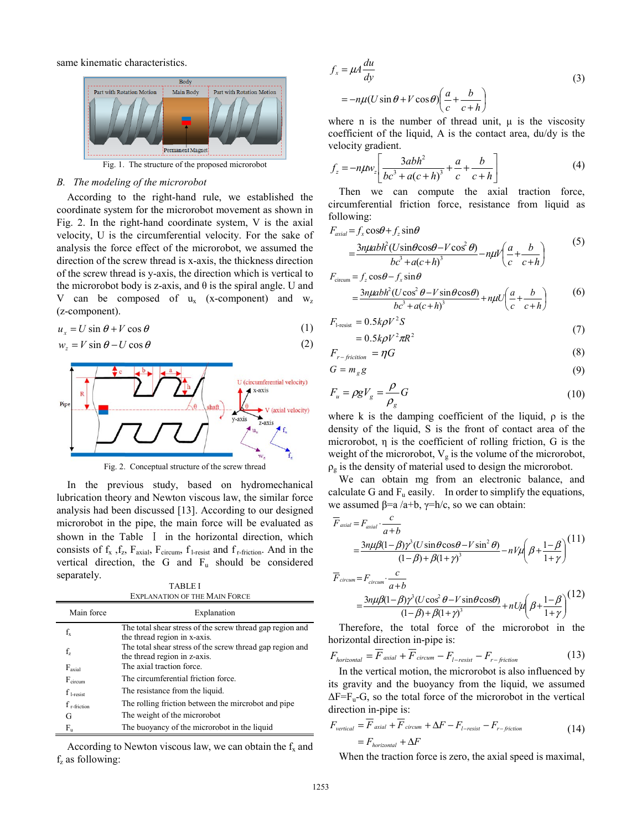same kinematic characteristics.



Fig. 1. The structure of the proposed microrobot

#### *B. The modeling of the microrobot*

According to the right-hand rule, we established the coordinate system for the microrobot movement as shown in Fig. 2. In the right-hand coordinate system, V is the axial velocity, U is the circumferential velocity. For the sake of analysis the force effect of the microrobot, we assumed the direction of the screw thread is x-axis, the thickness direction of the screw thread is y-axis, the direction which is vertical to the microrobot body is z-axis, and  $\theta$  is the spiral angle. U and V can be composed of  $u_x$  (x-component) and  $w_z$ (z-component).

$$
u_x = U \sin \theta + V \cos \theta \tag{1}
$$

$$
w_z = V \sin \theta - U \cos \theta \tag{2}
$$

Fig. 2. Conceptual structure of the screw thread

In the previous study, based on hydromechanical lubrication theory and Newton viscous law, the similar force analysis had been discussed [13]. According to our designed microrobot in the pipe, the main force will be evaluated as shown in the Table I in the horizontal direction, which consists of  $f_x$ ,  $f_z$ ,  $F_{axial}$ ,  $F_{circum}$ ,  $f_{1-resist}$  and  $f_{r-fiction}$ . And in the vertical direction, the G and  $F_u$  should be considered separately.

TABLE I EXPLANATION OF THE MAIN FORCE

| Main force                  | Explanation                                                                               |
|-----------------------------|-------------------------------------------------------------------------------------------|
| $f_{x}$                     | The total shear stress of the screw thread gap region and                                 |
|                             | the thread region in x-axis.<br>The total shear stress of the screw thread gap region and |
| $f_{z}$                     | the thread region in z-axis.                                                              |
| F <sub>axial</sub>          | The axial traction force.                                                                 |
| $F_{\text{circum}}$         | The circumferential friction force.                                                       |
| $f_{\text{1-resist}}$       | The resistance from the liquid.                                                           |
| $f_{\rm r\text{-friction}}$ | The rolling friction between the mircrobot and pipe                                       |
| G                           | The weight of the microrobot                                                              |
| $F_u$                       | The buoyancy of the microrobot in the liquid                                              |

According to Newton viscous law, we can obtain the  $f_x$  and  $f<sub>z</sub>$  as following:

$$
f_x = \mu A \frac{du}{dy}
$$
  
=  $-n\mu (U \sin \theta + V \cos \theta) \left( \frac{a}{c} + \frac{b}{c+h} \right)$  (3)

where n is the number of thread unit,  $\mu$  is the viscosity coefficient of the liquid, A is the contact area, du/dy is the velocity gradient.

$$
f_z = -n\mu w_z \left[ \frac{3abh^2}{bc^3 + a(c+h)^3} + \frac{a}{c} + \frac{b}{c+h} \right]
$$
 (4)

Then we can compute the axial traction force, circumferential friction force, resistance from liquid as following:

$$
F_{\alpha xial} = f_x \cos\theta + f_z \sin\theta
$$
  
= 
$$
\frac{3n\mu abh^2 (U \sin\theta \cos\theta - V \cos^2\theta)}{bc^3 + a(c+h)^3} - n\mu V \left(\frac{a}{c} + \frac{b}{c+h}\right)
$$
 (5)

$$
F_{\text{circum}} = f_z \cos\theta - f_x \sin\theta
$$
  
= 
$$
\frac{3n\mu abh^2 (U\cos^2\theta - V\sin\theta\cos\theta)}{bc^3 + a(c+h)^3} + n\mu U \left(\frac{a}{c} + \frac{b}{c+h}\right)
$$
 (6)

$$
F_{1\text{-resist}} = 0.5k\rho V^2 S
$$
  
= 0.5k\rho V^2 \pi R^2 (7)

$$
F_{r-fiction} = \eta G \tag{8}
$$

$$
G = m_g g \tag{9}
$$

$$
F_u = \rho g V_g = \frac{\rho}{\rho_g} G \tag{10}
$$

where k is the damping coefficient of the liquid,  $\rho$  is the density of the liquid, S is the front of contact area of the microrobot, η is the coefficient of rolling friction, G is the weight of the microrobot,  $V_g$  is the volume of the microrobot,  $\rho_{g}$  is the density of material used to design the microrobot.

We can obtain mg from an electronic balance, and calculate G and  $F_u$  easily. In order to simplify the equations, we assumed  $\beta$ =a /a+b,  $\gamma$ =h/c, so we can obtain:

$$
\overline{F}_{axial} = F_{axial} \cdot \frac{c}{a+b}
$$
\n
$$
= \frac{3n\mu\beta(1-\beta)\gamma^3(U\sin\theta\cos\theta - V\sin^2\theta)}{(1-\beta)+\beta(1+\gamma)^3} - nV\mu\left(\beta + \frac{1-\beta}{1+\gamma}\right)^{(11)}
$$
\n
$$
\overline{F}_{circum} = F_{circum} \cdot \frac{c}{a+b}
$$
\n
$$
= \frac{3n\mu\beta(1-\beta)\gamma^3(U\cos^2\theta - V\sin\theta\cos\theta)}{(1-\beta)+\beta(1+\gamma)^3} + nU\mu\left(\beta + \frac{1-\beta}{1+\gamma}\right)^{(12)}
$$

$$
= \frac{3n\mu\beta(1-\beta)\gamma^3(U\cos^2\theta - V\sin\theta\cos\theta)}{(1-\beta)+\beta(1+\gamma)^3} + nU\mu\left(\beta + \frac{1-\beta}{1+\gamma}\right)^{(1/2)}
$$
  
Therefore, the total force of the microrobot in the

horizontal direction in-pipe is:

$$
F_{horizontal} = F_{axial} + F_{circum} - F_{l-resist} - F_{r-piction}
$$
\n(13)

In the vertical motion, the microrobot is also influenced by its gravity and the buoyancy from the liquid, we assumed  $\Delta F = F_u - G$ , so the total force of the microrobot in the vertical direction in-pipe is:

$$
F_{vertical} = \overline{F}_{axial} + \overline{F}_{circum} + \Delta F - F_{l-resist} - F_{r-fiction}
$$
  
= 
$$
F_{horizontal} + \Delta F
$$
 (14)

When the traction force is zero, the axial speed is maximal,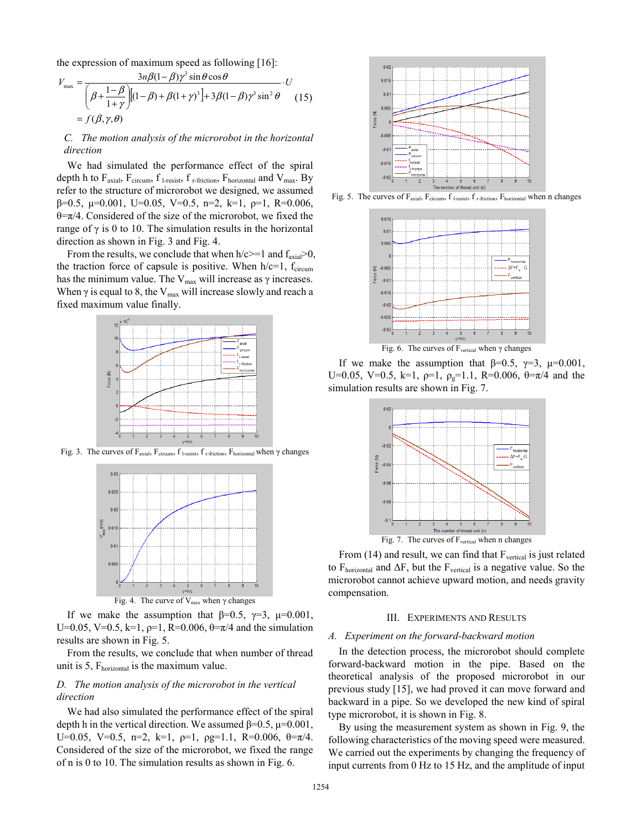the expression of maximum speed as following [16]:

$$
V_{\text{max}} = \frac{3n\beta(1-\beta)\gamma^3 \sin\theta \cos\theta}{\left(\beta + \frac{1-\beta}{1+\gamma}\right)[(1-\beta) + \beta(1+\gamma)^3] + 3\beta(1-\beta)\gamma^3 \sin^2\theta} \cdot U
$$
  
=  $f(\beta, \gamma, \theta)$  (15)

## *C. The motion analysis of the microrobot in the horizontal direction*

We had simulated the performance effect of the spiral depth h to  $F_{axial}$ ,  $F_{circum}$ ,  $f_{1-resist}$ ,  $f_{r-fiction}$ ,  $F_{horizontal}$  and  $V_{max}$ . By refer to the structure of microrobot we designed, we assumed  $β=0.5$ , μ=0.001, U=0.05, V=0.5, n=2, k=1, ρ=1, R=0.006,  $\theta = \pi/4$ . Considered of the size of the microrobot, we fixed the range of  $γ$  is 0 to 10. The simulation results in the horizontal direction as shown in Fig. 3 and Fig. 4.

From the results, we conclude that when  $h/c \geq 1$  and  $f_{\text{axial}} > 0$ , the traction force of capsule is positive. When  $h/c=1$ ,  $f_{\text{circum}}$ has the minimum value. The  $V_{\text{max}}$  will increase as  $\gamma$  increases. When  $\gamma$  is equal to 8, the V<sub>max</sub> will increase slowly and reach a fixed maximum value finally.



Fig. 3. The curves of Faxial, Fcircum, f l-resist, f r-friction, Fhorizontal when γ changes



If we make the assumption that  $\beta=0.5$ ,  $\gamma=3$ ,  $\mu=0.001$ , U=0.05, V=0.5, k=1,  $\rho=1$ , R=0.006,  $\theta=\pi/4$  and the simulation results are shown in Fig. 5.

From the results, we conclude that when number of thread unit is 5,  $F<sub>horizontal</sub>$  is the maximum value.

## *D. The motion analysis of the microrobot in the vertical direction*

We had also simulated the performance effect of the spiral depth h in the vertical direction. We assumed  $\beta = 0.5$ ,  $\mu = 0.001$ , U=0.05, V=0.5, n=2, k=1,  $p=1$ ,  $p=1$ ,  $R=0.006$ ,  $\theta=\pi/4$ . Considered of the size of the microrobot, we fixed the range of n is 0 to 10. The simulation results as shown in Fig. 6.



Fig. 5. The curves of F<sub>axial</sub>, F<sub>circum</sub>, f<sub>1-resist</sub>, f<sub>r-friction</sub>, F<sub>horizontal</sub> when n changes



Fig. 6. The curves of  $F_{vertical}$  when  $\gamma$  changes

If we make the assumption that  $\beta=0.5$ ,  $\gamma=3$ ,  $\mu=0.001$ , U=0.05, V=0.5, k=1,  $p=1$ ,  $\rho<sub>g</sub>=1.1$ , R=0.006,  $\theta = \pi/4$  and the simulation results are shown in Fig. 7.



From  $(14)$  and result, we can find that  $F<sub>vertical</sub>$  is just related to  $F<sub>horizontal</sub>$  and  $\Delta F$ , but the  $F<sub>vertical</sub>$  is a negative value. So the microrobot cannot achieve upward motion, and needs gravity compensation.

#### III. EXPERIMENTS AND RESULTS

#### *A. Experiment on the forward-backward motion*

In the detection process, the microrobot should complete forward-backward motion in the pipe. Based on the theoretical analysis of the proposed microrobot in our previous study [15], we had proved it can move forward and backward in a pipe. So we developed the new kind of spiral type microrobot, it is shown in Fig. 8.

By using the measurement system as shown in Fig. 9, the following characteristics of the moving speed were measured. We carried out the experiments by changing the frequency of input currents from 0 Hz to 15 Hz, and the amplitude of input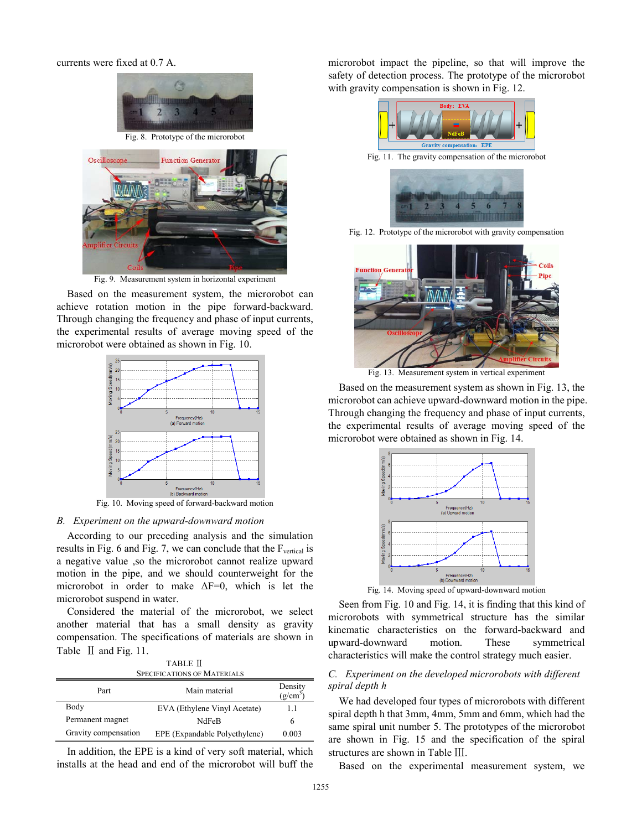currents were fixed at 0.7 A.





Fig. 9. Measurement system in horizontal experiment

Based on the measurement system, the microrobot can achieve rotation motion in the pipe forward-backward. Through changing the frequency and phase of input currents, the experimental results of average moving speed of the microrobot were obtained as shown in Fig. 10.



Fig. 10. Moving speed of forward-backward motion

## *B. Experiment on the upward-downward motion*

According to our preceding analysis and the simulation results in Fig. 6 and Fig. 7, we can conclude that the  $F<sub>vertical</sub>$  is a negative value ,so the microrobot cannot realize upward motion in the pipe, and we should counterweight for the microrobot in order to make  $\Delta F=0$ , which is let the microrobot suspend in water.

Considered the material of the microrobot, we select another material that has a small density as gravity compensation. The specifications of materials are shown in Table II and Fig. 11.

| <b>TABLE II</b>                    |                               |                       |  |  |  |  |
|------------------------------------|-------------------------------|-----------------------|--|--|--|--|
| <b>SPECIFICATIONS OF MATERIALS</b> |                               |                       |  |  |  |  |
| Part                               | Main material                 | Density<br>$(g/cm^3)$ |  |  |  |  |
| Body                               | EVA (Ethylene Vinyl Acetate)  | 11                    |  |  |  |  |
| Permanent magnet                   | NdFeB                         | 6                     |  |  |  |  |
| Gravity compensation               | EPE (Expandable Polyethylene) | 0.003                 |  |  |  |  |

In addition, the EPE is a kind of very soft material, which installs at the head and end of the microrobot will buff the

microrobot impact the pipeline, so that will improve the safety of detection process. The prototype of the microrobot with gravity compensation is shown in Fig. 12.



Fig. 11. The gravity compensation of the microrobot



Fig. 12. Prototype of the microrobot with gravity compensation



Fig. 13. Measurement system in vertical experiment

Based on the measurement system as shown in Fig. 13, the microrobot can achieve upward-downward motion in the pipe. Through changing the frequency and phase of input currents, the experimental results of average moving speed of the microrobot were obtained as shown in Fig. 14.



Seen from Fig. 10 and Fig. 14, it is finding that this kind of microrobots with symmetrical structure has the similar kinematic characteristics on the forward-backward and upward-downward motion. These symmetrical characteristics will make the control strategy much easier.

## *C. Experiment on the developed microrobots with different spiral depth h*

We had developed four types of microrobots with different spiral depth h that 3mm, 4mm, 5mm and 6mm, which had the same spiral unit number 5. The prototypes of the microrobot are shown in Fig. 15 and the specification of the spiral structures are shown in Table Ⅲ.

Based on the experimental measurement system, we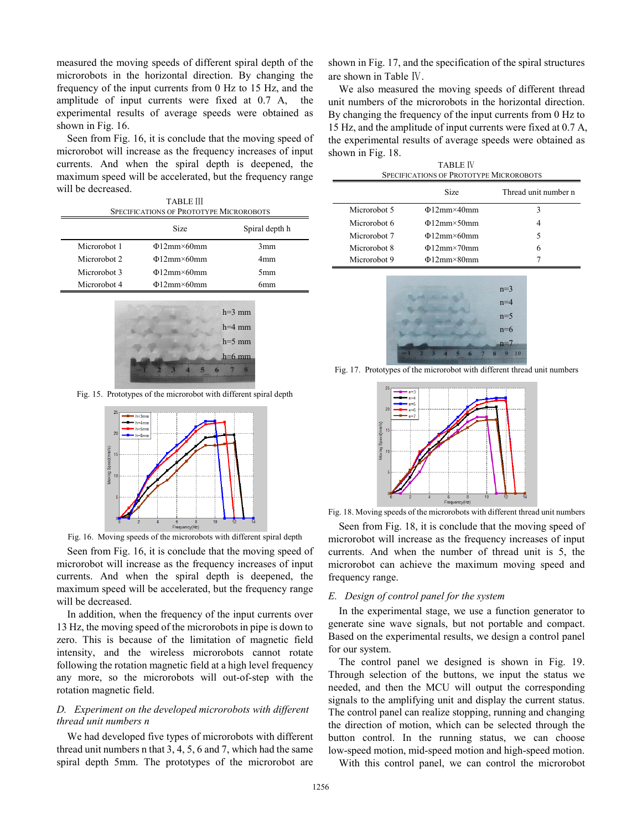measured the moving speeds of different spiral depth of the microrobots in the horizontal direction. By changing the frequency of the input currents from 0 Hz to 15 Hz, and the amplitude of input currents were fixed at 0.7 A, the experimental results of average speeds were obtained as shown in Fig. 16.

Seen from Fig. 16, it is conclude that the moving speed of microrobot will increase as the frequency increases of input currents. And when the spiral depth is deepened, the maximum speed will be accelerated, but the frequency range will be decreased.

| <b>TABLE III</b>                               |  |
|------------------------------------------------|--|
| <b>SPECIFICATIONS OF PROTOTYPE MICROROBOTS</b> |  |

|              | <b>Size</b>      | Spiral depth h  |
|--------------|------------------|-----------------|
| Microrobot 1 | $\Phi$ 12mm×60mm | 3mm             |
| Microrobot 2 | $\Phi$ 12mm×60mm | 4 <sub>mm</sub> |
| Microrobot 3 | $\Phi$ 12mm×60mm | 5 <sub>mm</sub> |
| Microrobot 4 | $\Phi$ 12mm×60mm | 6mm             |



Fig. 15. Prototypes of the microrobot with different spiral depth



Fig. 16. Moving speeds of the microrobots with different spiral depth

Seen from Fig. 16, it is conclude that the moving speed of microrobot will increase as the frequency increases of input currents. And when the spiral depth is deepened, the maximum speed will be accelerated, but the frequency range will be decreased.

In addition, when the frequency of the input currents over 13 Hz, the moving speed of the microrobots in pipe is down to zero. This is because of the limitation of magnetic field intensity, and the wireless microrobots cannot rotate following the rotation magnetic field at a high level frequency any more, so the microrobots will out-of-step with the rotation magnetic field.

## *D. Experiment on the developed microrobots with different thread unit numbers n*

We had developed five types of microrobots with different thread unit numbers n that 3, 4, 5, 6 and 7, which had the same spiral depth 5mm. The prototypes of the microrobot are shown in Fig. 17, and the specification of the spiral structures are shown in Table Ⅳ.

We also measured the moving speeds of different thread unit numbers of the microrobots in the horizontal direction. By changing the frequency of the input currents from 0 Hz to 15 Hz, and the amplitude of input currents were fixed at 0.7 A, the experimental results of average speeds were obtained as shown in Fig. 18.

| <b>TABLE IV</b><br><b>SPECIFICATIONS OF PROTOTYPE MICROROBOTS</b> |                  |                      |  |  |  |
|-------------------------------------------------------------------|------------------|----------------------|--|--|--|
|                                                                   | Size             | Thread unit number n |  |  |  |
| Microrobot 5                                                      | $\Phi$ 12mm×40mm | 3                    |  |  |  |
| Microrobot 6                                                      | $\Phi$ 12mm×50mm | 4                    |  |  |  |
| Microrobot 7                                                      | $\Phi$ 12mm×60mm | 5                    |  |  |  |
| Microrobot 8                                                      | $\Phi$ 12mm×70mm | 6                    |  |  |  |
| Microrobot 9                                                      | $\Phi$ 12mm×80mm |                      |  |  |  |



Fig. 17. Prototypes of the microrobot with different thread unit numbers



Fig. 18. Moving speeds of the microrobots with different thread unit numbers

Seen from Fig. 18, it is conclude that the moving speed of microrobot will increase as the frequency increases of input currents. And when the number of thread unit is 5, the microrobot can achieve the maximum moving speed and frequency range.

### *E. Design of control panel for the system*

In the experimental stage, we use a function generator to generate sine wave signals, but not portable and compact. Based on the experimental results, we design a control panel for our system.

The control panel we designed is shown in Fig. 19. Through selection of the buttons, we input the status we needed, and then the MCU will output the corresponding signals to the amplifying unit and display the current status. The control panel can realize stopping, running and changing the direction of motion, which can be selected through the button control. In the running status, we can choose low-speed motion, mid-speed motion and high-speed motion.

With this control panel, we can control the microrobot